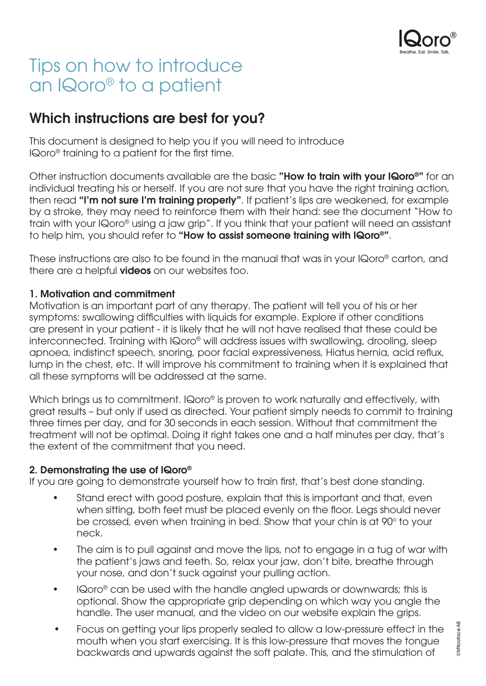

# Tips on how to introduce an IQoro® to a patient

## Which instructions are best for you?

This document is designed to help you if you will need to introduce IQoro® training to a patient for the first time.

Other instruction documents available are the basic "How to train with your IQoro<sup>®</sup>" for an individual treating his or herself. If you are not sure that you have the right training action, then read "I'm not sure I'm training properly". If patient's lips are weakened, for example by a stroke, they may need to reinforce them with their hand: see the document "How to train with your IQoro® using a jaw grip". If you think that your patient will need an assistant to help him, you should refer to "How to assist someone training with IQoro®".

These instructions are also to be found in the manual that was in your IQoro® carton, and there are a helpful **videos** on our websites too.

### 1. Motivation and commitment

Motivation is an important part of any therapy. The patient will tell you of his or her symptoms: swallowing difficulties with liquids for example. Explore if other conditions are present in your patient - it is likely that he will not have realised that these could be interconnected. Training with IQoro® will address issues with swallowing, drooling, sleep apnoea, indistinct speech, snoring, poor facial expressiveness, Hiatus hernia, acid reflux, lump in the chest, etc. It will improve his commitment to training when it is explained that all these symptoms will be addressed at the same.

Which brings us to commitment. IQoro® is proven to work naturally and effectively, with great results – but only if used as directed. Your patient simply needs to commit to training three times per day, and for 30 seconds in each session. Without that commitment the treatment will not be optimal. Doing it right takes one and a half minutes per day, that's the extent of the commitment that you need.

#### 2. Demonstrating the use of IQoro®

If you are going to demonstrate yourself how to train first, that's best done standing.

- Stand erect with good posture, explain that this is important and that, even when sitting, both feet must be placed evenly on the floor. Legs should never be crossed, even when training in bed. Show that your chin is at 90° to your neck.
- The aim is to pull against and move the lips, not to engage in a tug of war with the patient's jaws and teeth. So, relax your jaw, don't bite, breathe through your nose, and don't suck against your pulling action.
- IQoro® can be used with the handle angled upwards or downwards; this is optional. Show the appropriate grip depending on which way you angle the handle. The user manual, and the video on our website explain the grips.
- Focus on getting your lips properly sealed to allow a low-pressure effect in the mouth when you start exercising. It is this low-pressure that moves the tongue backwards and upwards against the soft palate. This, and the stimulation of